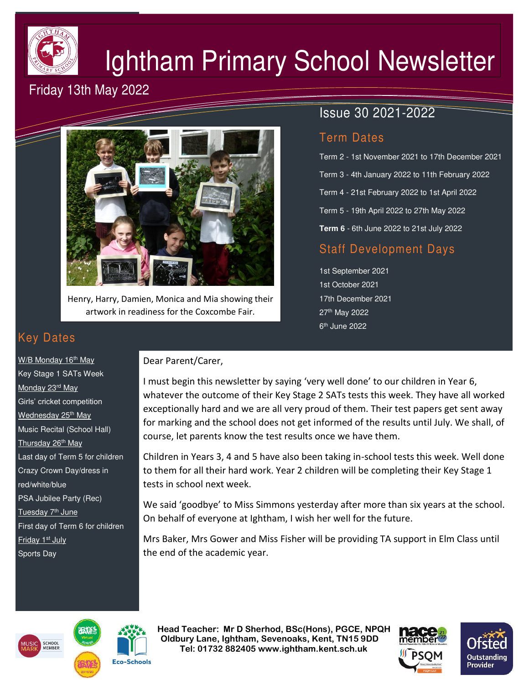

# Ightham Primary School Newsletter

# Friday 13th May 2022



Henry, Harry, Damien, Monica and Mia showing their artwork in readiness for the Coxcombe Fair.

## Issue 30 2021-2022

### Term Dates

Term 2 - 1st November 2021 to 17th December 2021 Term 3 - 4th January 2022 to 11th February 2022 Term 4 - 21st February 2022 to 1st April 2022 Term 5 - 19th April 2022 to 27th May 2022 **Term 6** - 6th June 2022 to 21st July 2022

## Staff Development Days

1st September 2021 1st October 2021 17th December 2021 27th May 2022 6<sup>th</sup> June 2022

# Key Dates

W/B Monday 16<sup>th</sup> May Key Stage 1 SATs Week Monday 23rd May Girls' cricket competition Wednesday 25<sup>th</sup> May Music Recital (School Hall) Thursday 26<sup>th</sup> May Last day of Term 5 for children Crazy Crown Day/dress in red/white/blue PSA Jubilee Party (Rec) Tuesday 7<sup>th</sup> June First day of Term 6 for children Friday 1<sup>st</sup> July Sports Day

#### Dear Parent/Carer,

I must begin this newsletter by saying 'very well done' to our children in Year 6, whatever the outcome of their Key Stage 2 SATs tests this week. They have all worked exceptionally hard and we are all very proud of them. Their test papers get sent away for marking and the school does not get informed of the results until July. We shall, of course, let parents know the test results once we have them.

Children in Years 3, 4 and 5 have also been taking in-school tests this week. Well done to them for all their hard work. Year 2 children will be completing their Key Stage 1 tests in school next week.

We said 'goodbye' to Miss Simmons yesterday after more than six years at the school. On behalf of everyone at Ightham, I wish her well for the future.

Mrs Baker, Mrs Gower and Miss Fisher will be providing TA support in Elm Class until the end of the academic year.





 **Head Teacher: Mr D Sherhod, BSc(Hons), PGCE, NPQH Oldbury Lane, Ightham, Sevenoaks, Kent, TN15 9DD** EXERIGING THE **TELE: 01732 882405 www.ightham.kent.sch.uk**<br>Tel: 01732 882405 www.ightham.kent.sch.uk



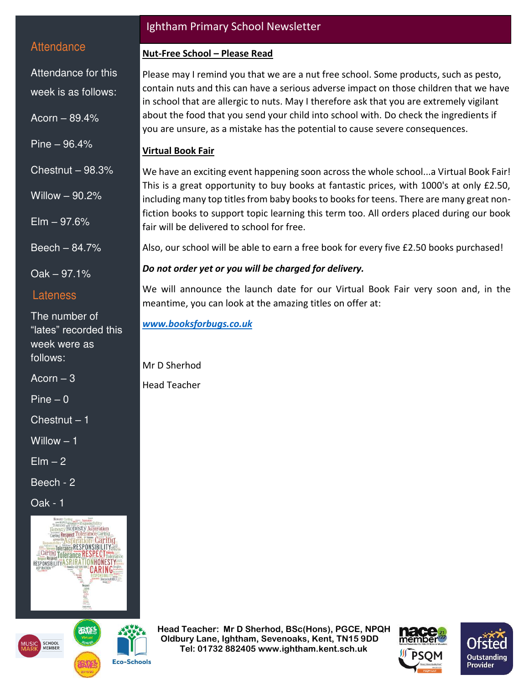#### **Attendance**

Attendance for this week is as follows:

Acorn – 89.4%

Pine – 96.4%

Chestnut – 98.3%

Willow – 90.2%

 $E$ lm  $-97.6%$ 

Beech – 84.7%

Oak – 97.1%

#### Lateness

The number of "lates" recorded this week were as follows:

Acorn  $-3$ 

 $Pine - 0$ 

 $\overline{\text{Chestnut}} - 1$ 

Willow – 1

 $E$ lm  $-2$ 

Beech - 2

Oak - 1



**Eco-Schools** 



#### Ightham Primary School Newsletter

#### **Nut-Free School – Please Read**

Please may I remind you that we are a nut free school. Some products, such as pesto, contain nuts and this can have a serious adverse impact on those children that we have in school that are allergic to nuts. May I therefore ask that you are extremely vigilant about the food that you send your child into school with. Do check the ingredients if you are unsure, as a mistake has the potential to cause severe consequences.

#### **Virtual Book Fair**

We have an exciting event happening soon across the whole school...a Virtual Book Fair! This is a great opportunity to buy books at fantastic prices, with 1000's at only £2.50, including many top titles from baby books to books for teens. There are many great nonfiction books to support topic learning this term too. All orders placed during our book fair will be delivered to school for free.

Also, our school will be able to earn a free book for every five £2.50 books purchased!

#### *Do not order yet or you will be charged for delivery.*

We will announce the launch date for our Virtual Book Fair very soon and, in the meantime, you can look at the amazing titles on offer at:

*[www.booksforbugs.co.uk](http://www.booksforbugs.co.uk/)*

Mr D Sherhod Head Teacher

 **Head Teacher: Mr D Sherhod, BSc(Hons), PGCE, NPQH Oldbury Lane, Ightham, Sevenoaks, Kent, TN15 9DD Tel: 01732 882405 www.ightham.kent.sch.uk**<br>Tel: 01732 882405 www.ightham.kent.sch.uk